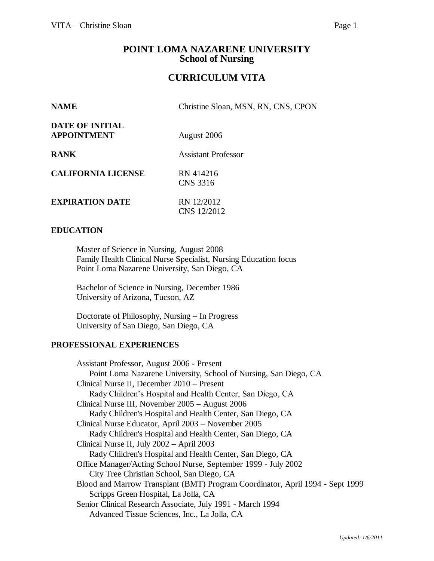# **POINT LOMA NAZARENE UNIVERSITY School of Nursing**

# **CURRICULUM VITA**

| Christine Sloan, MSN, RN, CNS, CPON |
|-------------------------------------|
| August 2006                         |
| <b>Assistant Professor</b>          |
| RN 414216<br><b>CNS 3316</b>        |
| RN 12/2012<br>CNS 12/2012           |
|                                     |

# **EDUCATION**

Master of Science in Nursing, August 2008 Family Health Clinical Nurse Specialist, Nursing Education focus Point Loma Nazarene University, San Diego, CA

Bachelor of Science in Nursing, December 1986 University of Arizona, Tucson, AZ

Doctorate of Philosophy, Nursing – In Progress University of San Diego, San Diego, CA

#### **PROFESSIONAL EXPERIENCES**

Assistant Professor, August 2006 - Present Point Loma Nazarene University, School of Nursing, San Diego, CA Clinical Nurse II, December 2010 – Present Rady Children's Hospital and Health Center, San Diego, CA Clinical Nurse III, November 2005 – August 2006 Rady Children's Hospital and Health Center, San Diego, CA Clinical Nurse Educator, April 2003 – November 2005 Rady Children's Hospital and Health Center, San Diego, CA Clinical Nurse II, July 2002 – April 2003 Rady Children's Hospital and Health Center, San Diego, CA Office Manager/Acting School Nurse, September 1999 - July 2002 City Tree Christian School, San Diego, CA Blood and Marrow Transplant (BMT) Program Coordinator, April 1994 - Sept 1999 Scripps Green Hospital, La Jolla, CA Senior Clinical Research Associate, July 1991 - March 1994 Advanced Tissue Sciences, Inc., La Jolla, CA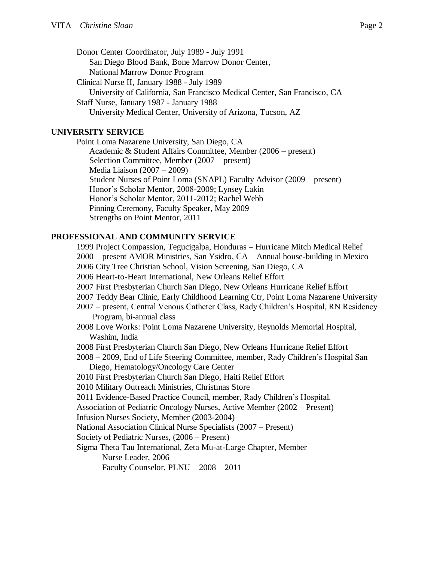Donor Center Coordinator, July 1989 - July 1991 San Diego Blood Bank, Bone Marrow Donor Center, National Marrow Donor Program Clinical Nurse II, January 1988 - July 1989 University of California, San Francisco Medical Center, San Francisco, CA Staff Nurse, January 1987 - January 1988 University Medical Center, University of Arizona, Tucson, AZ

### **UNIVERSITY SERVICE**

Point Loma Nazarene University, San Diego, CA Academic & Student Affairs Committee, Member (2006 – present) Selection Committee, Member (2007 – present) Media Liaison (2007 – 2009) Student Nurses of Point Loma (SNAPL) Faculty Advisor (2009 – present) Honor's Scholar Mentor, 2008-2009; Lynsey Lakin Honor's Scholar Mentor, 2011-2012; Rachel Webb Pinning Ceremony, Faculty Speaker, May 2009 Strengths on Point Mentor, 2011

# **PROFESSIONAL AND COMMUNITY SERVICE**

1999 Project Compassion, Tegucigalpa, Honduras – Hurricane Mitch Medical Relief 2000 – present AMOR Ministries, San Ysidro, CA – Annual house-building in Mexico 2006 City Tree Christian School, Vision Screening, San Diego, CA 2006 Heart-to-Heart International, New Orleans Relief Effort 2007 First Presbyterian Church San Diego, New Orleans Hurricane Relief Effort 2007 Teddy Bear Clinic, Early Childhood Learning Ctr, Point Loma Nazarene University 2007 – present, Central Venous Catheter Class, Rady Children's Hospital, RN Residency Program, bi-annual class 2008 Love Works: Point Loma Nazarene University, Reynolds Memorial Hospital, Washim, India 2008 First Presbyterian Church San Diego, New Orleans Hurricane Relief Effort 2008 – 2009, End of Life Steering Committee, member, Rady Children's Hospital San Diego, Hematology/Oncology Care Center 2010 First Presbyterian Church San Diego, Haiti Relief Effort 2010 Military Outreach Ministries, Christmas Store 2011 Evidence-Based Practice Council, member, Rady Children's Hospital. Association of Pediatric Oncology Nurses, Active Member (2002 – Present) Infusion Nurses Society, Member (2003-2004) National Association Clinical Nurse Specialists (2007 – Present) Society of Pediatric Nurses, (2006 – Present) Sigma Theta Tau International, Zeta Mu-at-Large Chapter, Member Nurse Leader, 2006 Faculty Counselor, PLNU – 2008 – 2011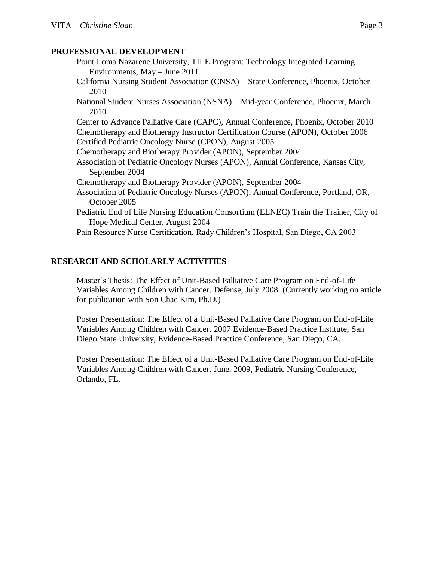# **PROFESSIONAL DEVELOPMENT**

- Point Loma Nazarene University, TILE Program: Technology Integrated Learning Environments, May – June 2011.
- California Nursing Student Association (CNSA) State Conference, Phoenix, October 2010
- National Student Nurses Association (NSNA) Mid-year Conference, Phoenix, March 2010

Center to Advance Palliative Care (CAPC), Annual Conference, Phoenix, October 2010 Chemotherapy and Biotherapy Instructor Certification Course (APON), October 2006 Certified Pediatric Oncology Nurse (CPON), August 2005

- Chemotherapy and Biotherapy Provider (APON), September 2004
- Association of Pediatric Oncology Nurses (APON), Annual Conference, Kansas City, September 2004
- Chemotherapy and Biotherapy Provider (APON), September 2004
- Association of Pediatric Oncology Nurses (APON), Annual Conference, Portland, OR, October 2005
- Pediatric End of Life Nursing Education Consortium (ELNEC) Train the Trainer, City of Hope Medical Center, August 2004

Pain Resource Nurse Certification, Rady Children's Hospital, San Diego, CA 2003

# **RESEARCH AND SCHOLARLY ACTIVITIES**

Master's Thesis: The Effect of Unit-Based Palliative Care Program on End-of-Life Variables Among Children with Cancer. Defense, July 2008. (Currently working on article for publication with Son Chae Kim, Ph.D.)

Poster Presentation: The Effect of a Unit-Based Palliative Care Program on End-of-Life Variables Among Children with Cancer. 2007 Evidence-Based Practice Institute, San Diego State University, Evidence-Based Practice Conference, San Diego, CA.

Poster Presentation: The Effect of a Unit-Based Palliative Care Program on End-of-Life Variables Among Children with Cancer. June, 2009, Pediatric Nursing Conference, Orlando, FL.